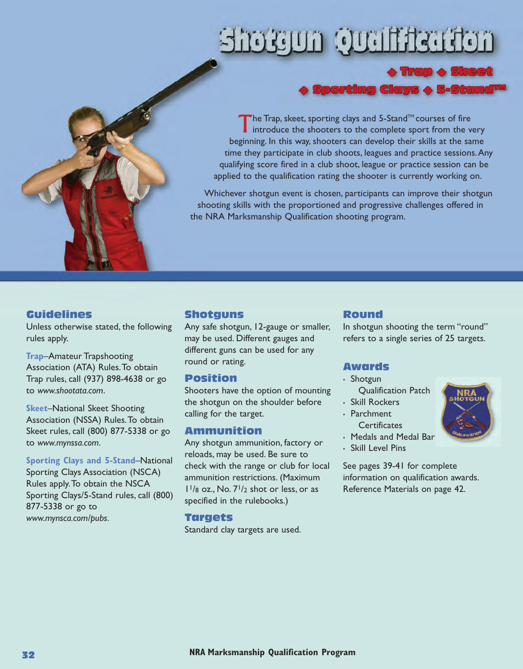# **Arathliau) Auguart**



# ¦porting Clays ◆ 5-Stand™

utor

The Trap, skeet, sporting clays and 5-Stand<sup>TM</sup> courses of fire<br>introduce the shooters to the complete sport from the very beginning. In this way, shooters can develop their skills at the same time they participate in club shoots, leagues and practice sessions.Any qualifying score fired in a club shoot, league or practice session can be applied to the qualification rating the shooter is currently working on.

Whichever shotgun event is chosen, participants can improve their shotgun shooting skills with the proportioned and progressive challenges offered in the NRA Marksmanship Qualification shooting program.

#### **Guidelines**

Unless otherwise stated, the following rules apply.

**Trap**–Amateur Trapshooting Association (ATA) Rules.To obtain Trap rules, call (937) 898-4638 or go to *www.shootata.com*.

**Skeet**–National Skeet Shooting Association (NSSA) Rules.To obtain Skeet rules, call (800) 877-5338 or go to *www.mynssa.com*.

**Sporting Clays and 5-Stand**–National Sporting Clays Association (NSCA) Rules apply.To obtain the NSCA Sporting Clays/5-Stand rules, call (800) 877-5338 or go to *www.mynsca.com/pubs*.

#### **Shotguns**

Any safe shotgun, 12-gauge or smaller, may be used. Different gauges and different guns can be used for any round or rating.

#### **Position**

Shooters have the option of mounting the shotgun on the shoulder before calling for the target.

#### **Ammunition**

Any shotgun ammunition, factory or reloads, may be used. Be sure to check with the range or club for local ammunition restrictions. (Maximum  $1\frac{1}{8}$  oz., No.  $7\frac{1}{2}$  shot or less, or as specified in the rulebooks.)

#### **Targets**

Standard clay targets are used.

#### **Round**

In shotgun shooting the term "round" refers to a single series of 25 targets.

#### **Awards**

- Shotgun Qualification Patch
- Skill Rockers • Parchment
- **Certificates**
- Medals and Medal Bar
- Skill Level Pins

See pages 39-41 for complete information on qualification awards. Reference Materials on page 42.